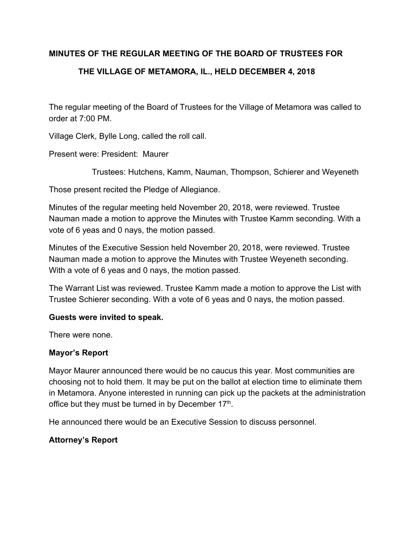#### **MINUTES OF THE REGULAR MEETING OF THE BOARD OF TRUSTEES FOR**

## **THE VILLAGE OF METAMORA, IL., HELD DECEMBER 4, 2018**

The regular meeting of the Board of Trustees for the Village of Metamora was called to order at 7:00 PM.

Village Clerk, Bylle Long, called the roll call.

Present were: President: Maurer

Trustees: Hutchens, Kamm, Nauman, Thompson, Schierer and Weyeneth

Those present recited the Pledge of Allegiance.

Minutes of the regular meeting held November 20, 2018, were reviewed. Trustee Nauman made a motion to approve the Minutes with Trustee Kamm seconding. With a vote of 6 yeas and 0 nays, the motion passed.

Minutes of the Executive Session held November 20, 2018, were reviewed. Trustee Nauman made a motion to approve the Minutes with Trustee Weyeneth seconding. With a vote of 6 yeas and 0 nays, the motion passed.

The Warrant List was reviewed. Trustee Kamm made a motion to approve the List with Trustee Schierer seconding. With a vote of 6 yeas and 0 nays, the motion passed.

#### **Guests were invited to speak.**

There were none.

#### **Mayor's Report**

Mayor Maurer announced there would be no caucus this year. Most communities are choosing not to hold them. It may be put on the ballot at election time to eliminate them in Metamora. Anyone interested in running can pick up the packets at the administration office but they must be turned in by December  $17<sup>th</sup>$ .

He announced there would be an Executive Session to discuss personnel.

### **Attorney's Report**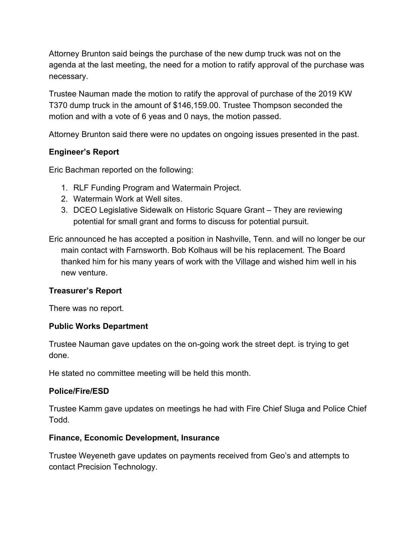Attorney Brunton said beings the purchase of the new dump truck was not on the agenda at the last meeting, the need for a motion to ratify approval of the purchase was necessary.

Trustee Nauman made the motion to ratify the approval of purchase of the 2019 KW T370 dump truck in the amount of \$146,159.00. Trustee Thompson seconded the motion and with a vote of 6 yeas and 0 nays, the motion passed.

Attorney Brunton said there were no updates on ongoing issues presented in the past.

## **Engineer's Report**

Eric Bachman reported on the following:

- 1. RLF Funding Program and Watermain Project.
- 2. Watermain Work at Well sites.
- 3. DCEO Legislative Sidewalk on Historic Square Grant They are reviewing potential for small grant and forms to discuss for potential pursuit.

Eric announced he has accepted a position in Nashville, Tenn. and will no longer be our main contact with Farnsworth. Bob Kolhaus will be his replacement. The Board thanked him for his many years of work with the Village and wished him well in his new venture.

### **Treasurer's Report**

There was no report.

### **Public Works Department**

Trustee Nauman gave updates on the on-going work the street dept. is trying to get done.

He stated no committee meeting will be held this month.

# **Police/Fire/ESD**

Trustee Kamm gave updates on meetings he had with Fire Chief Sluga and Police Chief Todd.

### **Finance, Economic Development, Insurance**

Trustee Weyeneth gave updates on payments received from Geo's and attempts to contact Precision Technology.